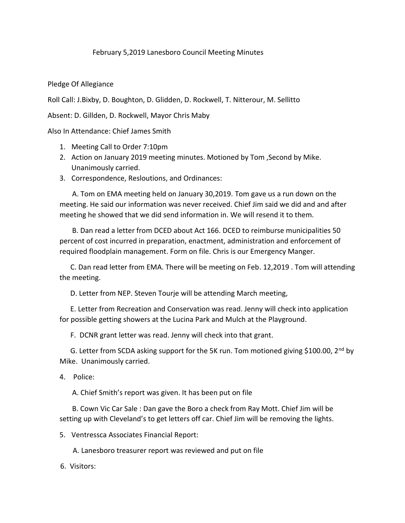## February 5,2019 Lanesboro Council Meeting Minutes

Pledge Of Allegiance

Roll Call: J.Bixby, D. Boughton, D. Glidden, D. Rockwell, T. Nitterour, M. Sellitto

Absent: D. Gillden, D. Rockwell, Mayor Chris Maby

Also In Attendance: Chief James Smith

- 1. Meeting Call to Order 7:10pm
- 2. Action on January 2019 meeting minutes. Motioned by Tom ,Second by Mike. Unanimously carried.
- 3. Correspondence, Resloutions, and Ordinances:

 A. Tom on EMA meeting held on January 30,2019. Tom gave us a run down on the meeting. He said our information was never received. Chief Jim said we did and and after meeting he showed that we did send information in. We will resend it to them.

 B. Dan read a letter from DCED about Act 166. DCED to reimburse municipalities 50 percent of cost incurred in preparation, enactment, administration and enforcement of required floodplain management. Form on file. Chris is our Emergency Manger.

 C. Dan read letter from EMA. There will be meeting on Feb. 12,2019 . Tom will attending the meeting.

D. Letter from NEP. Steven Tourje will be attending March meeting,

 E. Letter from Recreation and Conservation was read. Jenny will check into application for possible getting showers at the Lucina Park and Mulch at the Playground.

F. DCNR grant letter was read. Jenny will check into that grant.

G. Letter from SCDA asking support for the 5K run. Tom motioned giving \$100.00, 2<sup>nd</sup> by Mike. Unanimously carried.

4. Police:

A. Chief Smith's report was given. It has been put on file

 B. Cown Vic Car Sale : Dan gave the Boro a check from Ray Mott. Chief Jim will be setting up with Cleveland's to get letters off car. Chief Jim will be removing the lights.

5. Ventressca Associates Financial Report:

A. Lanesboro treasurer report was reviewed and put on file

6. Visitors: